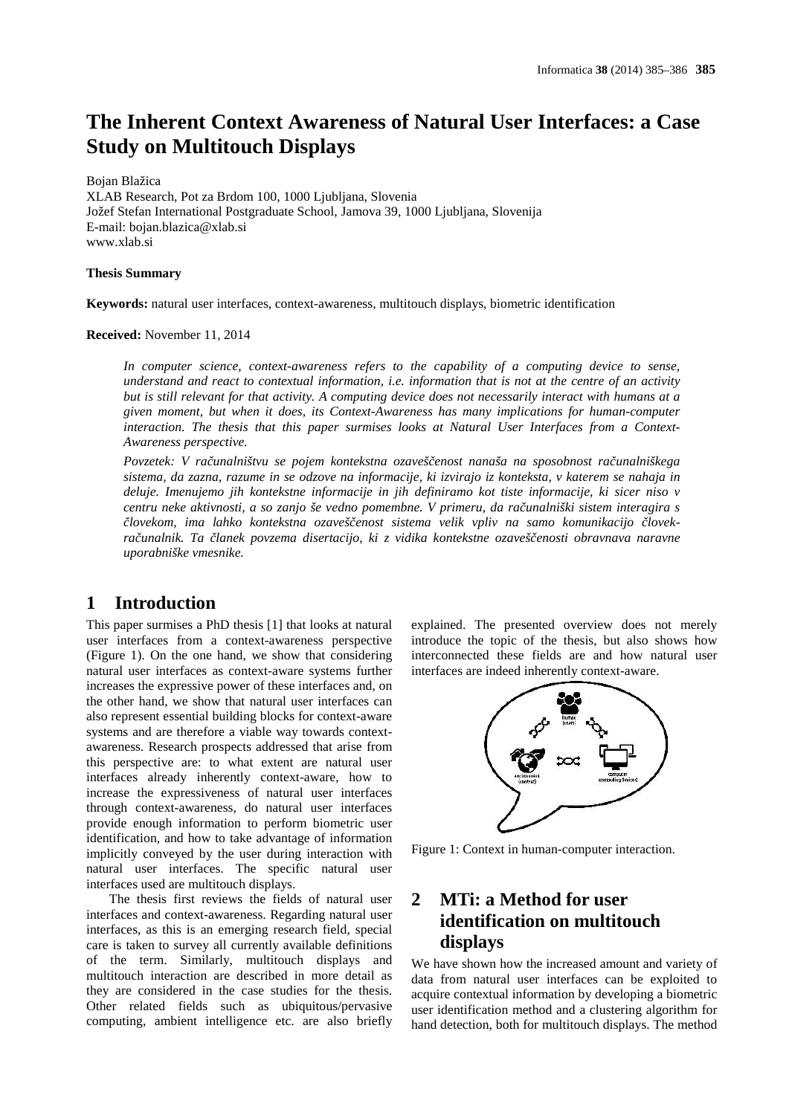# **The Inherent Context Awareness of Natural User Interfaces: a Case Study on Multitouch Displays**

Bojan Blažica

XLAB Research, Pot za Brdom 100, 1000 Ljubljana, Slovenia Jožef Stefan International Postgraduate School, Jamova 39, 1000 Ljubljana, Slovenija E-mail: bojan.blazica@xlab.si www.xlab.si

#### **Thesis Summary**

**Keywords:** natural user interfaces, context-awareness, multitouch displays, biometric identification

#### **Received:** November 11, 2014

*In computer science, context-awareness refers to the capability of a computing device to sense, understand and react to contextual information, i.e. information that is not at the centre of an activity but is still relevant for that activity. A computing device does not necessarily interact with humans at a given moment, but when it does, its Context-Awareness has many implications for human-computer interaction. The thesis that this paper surmises looks at Natural User Interfaces from a Context- Awareness perspective.*

*Povzetek: V ra unalništvu se pojem kontekstna ozaveščenost nanaša na sposobnost računalniškega sistema, da zazna, razume in se odzove na informacije, ki izvirajo iz konteksta, v katerem se nahaja in deluje. Imenujemo jih kontekstne informacije in jih definiramo kot tiste informacije, ki sicer niso v centru neke aktivnosti, a so zanjo še vedno pomembne. V primeru, da računalniški sistem interagira s lovekom, ima lahko kontekstna ozaveščenost sistema velik vpliv na samo komunikacijo človek računalnik. Ta članek povzema disertacijo, ki z vidika kontekstne ozaveščenosti obravnava naravne uporabniške vmesnike.*

### **1 Introduction**

This paper surmises a PhD thesis [1] that looks at natural user interfaces from a context-awareness perspective (Figure 1). On the one hand, we show that considering natural user interfaces as context-aware systems further increases the expressive power of these interfaces and, on the other hand, we show that natural user interfaces can also represent essential building blocks for context-aware systems and are therefore a viable way towards context awareness. Research prospects addressed that arise from this perspective are: to what extent are natural user interfaces already inherently context-aware, how to increase the expressiveness of natural user interfaces through context-awareness, do natural user interfaces provide enough information to perform biometric user identification, and how to take advantage of information implicitly conveyed by the user during interaction with natural user interfaces. The specific natural user interfaces used are multitouch displays.

The thesis first reviews the fields of natural user 2 interfaces and context-awareness. Regarding natural user interfaces, as this is an emerging research field, special care is taken to survey all currently available definitions of the term. Similarly, multitouch displays and multitouch interaction are described in more detail as they are considered in the case studies for the thesis. Other related fields such as ubiquitous/pervasive computing, ambient intelligence etc. are also briefly

explained. The presented overview does not merely introduce the topic of the thesis, but also shows how interconnected these fields are and how natural user interfaces are indeed inherently context-aware.



Figure 1: Context in human-computer interaction.

## **2 MTi: a Method for user identification on multitouch displays**

We have shown how the increased amount and variety of data from natural user interfaces can be exploited to acquire contextual information by developing a biometric user identification method and a clustering algorithm for hand detection, both for multitouch displays. The method